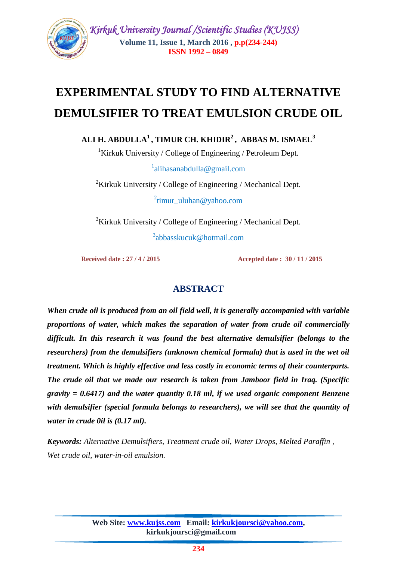

# **EXPERIMENTAL STUDY TO FIND ALTERNATIVE DEMULSIFIER TO TREAT EMULSION CRUDE OIL**

**ALI H. ABDULLA<sup>1</sup> , TIMUR CH. KHIDIR<sup>2</sup> , ABBAS M. ISMAEL<sup>3</sup>**

<sup>1</sup>Kirkuk University / College of Engineering / Petroleum Dept.

<sup>1</sup>[alihasanabdulla@gmail.com](mailto:alihasanabdulla@gmail.com)

<sup>2</sup>Kirkuk University / College of Engineering / Mechanical Dept.

<sup>2</sup>[timur\\_uluhan@yahoo.com](mailto:timur_uluhan@yahoo.com)

 $3$ Kirkuk University / College of Engineering / Mechanical Dept. 3 [abbasskucuk@hotmail.com](mailto:abbasskucuk@hotmail.com)

 **Received date : 27 / 4 / 2015 Accepted date : 30 / 11 / 2015**

## **ABSTRACT**

*When crude oil is produced from an oil field well, it is generally accompanied with variable proportions of water, which makes the separation of water from crude oil commercially difficult. In this research it was found the best alternative demulsifier (belongs to the researchers) from the demulsifiers (unknown chemical formula) that is used in the wet oil treatment. Which is highly effective and less costly in economic terms of their counterparts. The crude oil that we made our research is taken from Jamboor field in Iraq. (Specific gravity = 0.6417) and the water quantity 0.18 ml, if we used organic component Benzene with demulsifier (special formula belongs to researchers), we will see that the quantity of water in crude 0il is (0.17 ml).*

*Keywords: Alternative Demulsifiers, Treatment crude oil, Water Drops, Melted Paraffin , Wet crude oil, water-in-oil emulsion.*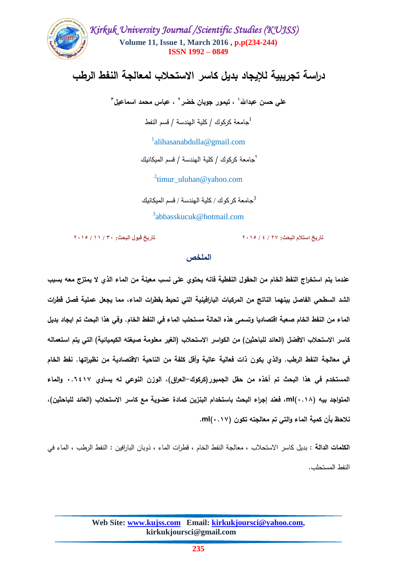

## **دراسة تجريبية لإليجاد بديل كاسر االستحالب لمعالجة النفط الرطب**

ع**لي حسن عبدالله' ، تيمور جوبان خضر ' ، عباس محمد اسماعيل ''** 

جامعة كركوك / كلية الهندسة / قسم النفط $^{\mathrm{l}}$ 

<sup>1</sup>[alihasanabdulla@gmail.com](mailto:alihasanabdulla@gmail.com)

<sup>7</sup>جامعة كركوك / كلية الهندسة / قسم الميكانيك

<sup>2</sup>[timur\\_uluhan@yahoo.com](mailto:timur_uluhan@yahoo.com)

جامعة كركوك / كلية الهندسة / قسم الميكانيك

3 [abbasskucuk@hotmail.com](mailto:abbasskucuk@hotmail.com)

**تاريخ استالم البحث: 72 / 4 / 7102 تاريخ قبول البحث: 01 / 00 / 7102**

#### ا**لملخص**

**عندما يتم استخراج النفط الخام من الحقول النفطية فانو يحتوي عمى نسب معينة من الماء الذي ال يمتزج معو بسبب الشد السطحي الفاصل بينيما الناتج من المركبات البارافينية التي تحيط بقطرات الماء, مما يجعل عممية فصل قطرات الماء من النفط الخام صعبة اقتصاديا وتسمى ىذه الحالة مستحمب الماء في النفط الخام. وفي ىذا البحث تم ايجاد بديل كاسر االستحالب االفضل )العائد لمباحثين( من الكواسر االستحالب )الغير معمومة صيغتو الكيميائية( التي يتم استعمالو في معالجة النفط الرطب. والذي يكون ذات فعالية عالية وأقل كمفة من الناحية االقتصادية من نظيراتيا. نفط الخام المستخدم في ىذا البحث تم أخذه من حقل الجمبور)كركوك-العراق(, الوزن النوعي لو يساوي 7.4410 والماء**  المتواجد بيه (nl( · . ۱۸)، فعند إجراء البحث باستخدام البنزين كمادة عضوية مع كاسر الاستحلاب (العائد للباحثين)، **نالحظ بأن كمية الماء والتي تم معالجتو تكون )7.10(ml.** 

**الكممات الدالة :** بديل كاسر االستحالب , معالجة النفط الخام , قطرات الماء , ذوبان البارافين : النفط الرطب , الماء في النفط المستحمب.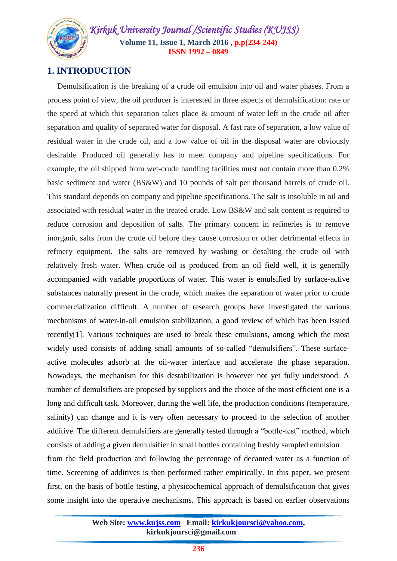*Kirkuk University Journal /Scientific Studies (KUJSS)*  **Volume 11, Issue 1, March 2016 , p.p(234-244) ISSN 1992 – 0849**

## **1. INTRODUCTION**

 Demulsification is the breaking of a crude oil emulsion into oil and water phases. From a process point of view, the oil producer is interested in three aspects of demulsification: rate or the speed at which this separation takes place & amount of water left in the crude oil after separation and quality of separated water for disposal. A fast rate of separation, a low value of residual water in the crude oil, and a low value of oil in the disposal water are obviously desirable. Produced oil generally has to meet company and pipeline specifications. For example, the oil shipped from wet-crude handling facilities must not contain more than 0.2% basic sediment and water (BS&W) and 10 pounds of salt per thousand barrels of crude oil. This standard depends on company and pipeline specifications. The salt is insoluble in oil and associated with residual water in the treated crude. Low BS&W and salt content is required to reduce corrosion and deposition of salts. The primary concern in refineries is to remove inorganic salts from the crude oil before they cause corrosion or other detrimental effects in refinery equipment. The salts are removed by washing or desalting the crude oil with relatively fresh water. When crude oil is produced from an oil field well, it is generally accompanied with variable proportions of water. This water is emulsified by surface-active substances naturally present in the crude, which makes the separation of water prior to crude commercialization difficult. A number of research groups have investigated the various mechanisms of water-in-oil emulsion stabilization, a good review of which has been issued recently[1]. Various techniques are used to break these emulsions, among which the most widely used consists of adding small amounts of so-called "demulsifiers". These surfaceactive molecules adsorb at the oil-water interface and accelerate the phase separation. Nowadays, the mechanism for this destabilization is however not yet fully understood. A number of demulsifiers are proposed by suppliers and the choice of the most efficient one is a long and difficult task. Moreover, during the well life, the production conditions (temperature, salinity) can change and it is very often necessary to proceed to the selection of another additive. The different demulsifiers are generally tested through a "bottle-test" method, which consists of adding a given demulsifier in small bottles containing freshly sampled emulsion from the field production and following the percentage of decanted water as a function of time. Screening of additives is then performed rather empirically. In this paper, we present first, on the basis of bottle testing, a physicochemical approach of demulsification that gives some insight into the operative mechanisms. This approach is based on earlier observations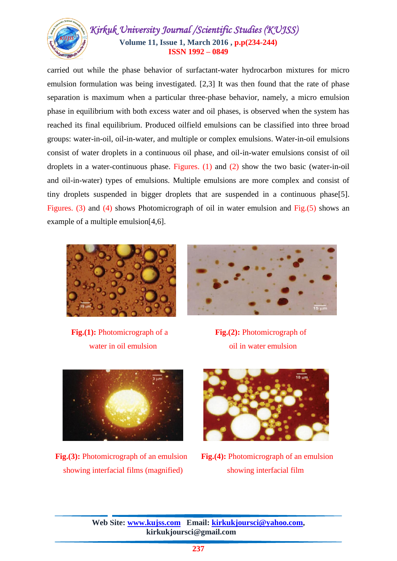

carried out while the phase behavior of surfactant-water hydrocarbon mixtures for micro emulsion formulation was being investigated. [2,3] It was then found that the rate of phase separation is maximum when a particular three-phase behavior, namely, a micro emulsion phase in equilibrium with both excess water and oil phases, is observed when the system has reached its final equilibrium. Produced oilfield emulsions can be classified into three broad groups: water-in-oil, oil-in-water, and multiple or complex emulsions. Water-in-oil emulsions consist of water droplets in a continuous oil phase, and oil-in-water emulsions consist of oil droplets in a water-continuous phase. Figures. (1) and (2) show the two basic (water-in-oil and oil-in-water) types of emulsions. Multiple emulsions are more complex and consist of tiny droplets suspended in bigger droplets that are suspended in a continuous phase[5]. Figures. (3) and (4) shows Photomicrograph of oil in water emulsion and Fig.(5) shows an example of a multiple emulsion[4,6].



**Fig.(1):** Photomicrograph of a **Fig.(2):** Photomicrograph of



water in oil emulsion oil in water emulsion



**Fig.(3):** Photomicrograph of an emulsion Fig.(4): Photomicrograph of an emulsion showing interfacial films (magnified) showing interfacial film

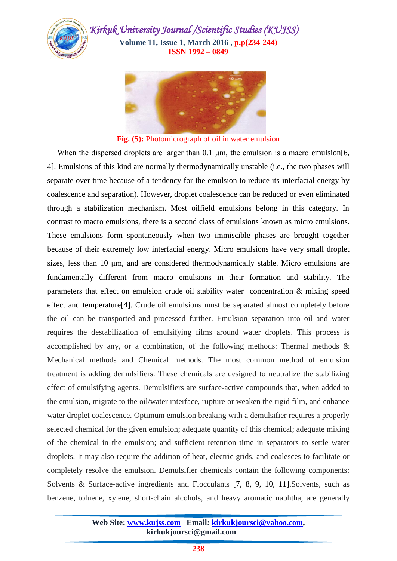



**Fig. (5):** Photomicrograph of oil in water emulsion

When the dispersed droplets are larger than  $0.1 \mu m$ , the emulsion is a macro emulsion [6, 4]. Emulsions of this kind are normally thermodynamically unstable (i.e., the two phases will separate over time because of a tendency for the emulsion to reduce its interfacial energy by coalescence and separation). However, droplet coalescence can be reduced or even eliminated through a stabilization mechanism. Most oilfield emulsions belong in this category. In contrast to macro emulsions, there is a second class of emulsions known as micro emulsions. These emulsions form spontaneously when two immiscible phases are brought together because of their extremely low interfacial energy. Micro emulsions have very small droplet sizes, less than 10 µm, and are considered thermodynamically stable. Micro emulsions are fundamentally different from macro emulsions in their formation and stability. The parameters that effect on emulsion crude oil stability water concentration & mixing speed effect and temperature[4]. Crude oil emulsions must be separated almost completely before the oil can be transported and processed further. Emulsion separation into oil and water requires the destabilization of emulsifying films around water droplets. This process is accomplished by any, or a combination, of the following methods: Thermal methods & Mechanical methods and Chemical methods. The most common method of emulsion treatment is adding demulsifiers. These chemicals are designed to neutralize the stabilizing effect of emulsifying agents. Demulsifiers are surface-active compounds that, when added to the emulsion, migrate to the oil/water interface, rupture or weaken the rigid film, and enhance water droplet coalescence. Optimum emulsion breaking with a demulsifier requires a properly selected chemical for the given emulsion; adequate quantity of this chemical; adequate mixing of the chemical in the emulsion; and sufficient retention time in separators to settle water droplets. It may also require the addition of heat, electric grids, and coalesces to facilitate or completely resolve the emulsion. Demulsifier chemicals contain the following components: Solvents & Surface-active ingredients and Flocculants [7, 8, 9, 10, 11].Solvents, such as benzene, toluene, xylene, short-chain alcohols, and heavy aromatic naphtha, are generally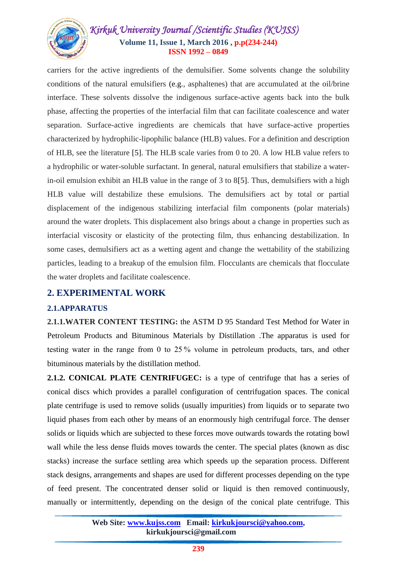

carriers for the active ingredients of the demulsifier. Some solvents change the solubility conditions of the natural emulsifiers (e.g., asphaltenes) that are accumulated at the oil/brine interface. These solvents dissolve the indigenous surface-active agents back into the bulk phase, affecting the properties of the interfacial film that can facilitate coalescence and water separation. Surface-active ingredients are chemicals that have surface-active properties characterized by hydrophilic-lipophilic balance (HLB) values. For a definition and description of HLB, see the literature [5]. The HLB scale varies from 0 to 20. A low HLB value refers to a hydrophilic or water-soluble surfactant. In general, natural emulsifiers that stabilize a waterin-oil emulsion exhibit an HLB value in the range of 3 to 8[5]. Thus, demulsifiers with a high HLB value will destabilize these emulsions. The demulsifiers act by total or partial displacement of the indigenous stabilizing interfacial film components (polar materials) around the water droplets. This displacement also brings about a change in properties such as interfacial viscosity or elasticity of the protecting film, thus enhancing destabilization. In some cases, demulsifiers act as a wetting agent and change the wettability of the stabilizing particles, leading to a breakup of the emulsion film. Flocculants are chemicals that flocculate the water droplets and facilitate coalescence.

## **2. EXPERIMENTAL WORK**

#### **2.1.APPARATUS**

**2.1.1.WATER CONTENT TESTING:** the ASTM D 95 Standard Test Method for Water in Petroleum Products and Bituminous Materials by Distillation .The apparatus is used for testing water in the range from 0 to 25 % volume in petroleum products, tars, and other bituminous materials by the distillation method.

**2.1.2. CONICAL PLATE CENTRIFUGEC:** is a type of [centrifuge](https://en.wikipedia.org/wiki/Centrifuge) that has a series of conical discs which provides a parallel configuration of centrifugation spaces. The conical plate centrifuge is used to remove solids (usually impurities) from liquids or to separate two liquid phases from each other by means of an enormously high centrifugal force. The denser solids or liquids which are subjected to these forces move outwards towards the rotating bowl wall while the less dense fluids moves towards the center. The special plates (known as disc stacks) increase the surface settling area which speeds up the separation process. Different stack designs, arrangements and shapes are used for different processes depending on the type of feed present. The concentrated denser solid or liquid is then removed continuously, manually or intermittently, depending on the design of the conical plate centrifuge. This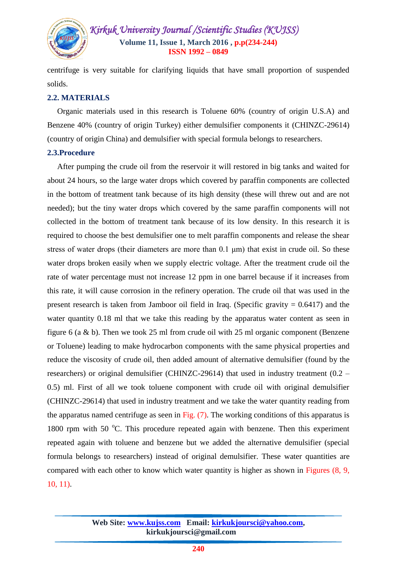

## *Kirkuk University Journal /Scientific Studies (KUJSS)*  **Volume 11, Issue 1, March 2016 , p.p(234-244) ISSN 1992 – 0849**

centrifuge is very suitable for clarifying liquids that have small proportion of suspended solids.

#### **2.2. MATERIALS**

 Organic materials used in this research is Toluene 60% (country of origin U.S.A) and Benzene 40% (country of origin Turkey) either demulsifier components it (CHINZC-29614) (country of origin China) and demulsifier with special formula belongs to researchers.

#### **2.3.Procedure**

 After pumping the crude oil from the reservoir it will restored in big tanks and waited for about 24 hours, so the large water drops which covered by paraffin components are collected in the bottom of treatment tank because of its high density (these will threw out and are not needed); but the tiny water drops which covered by the same paraffin components will not collected in the bottom of treatment tank because of its low density. In this research it is required to choose the best demulsifier one to melt paraffin components and release the shear stress of water drops (their diameters are more than 0.1 μm) that exist in crude oil. So these water drops broken easily when we supply electric voltage. After the treatment crude oil the rate of water percentage must not increase 12 ppm in one barrel because if it increases from this rate, it will cause corrosion in the refinery operation. The crude oil that was used in the present research is taken from Jamboor oil field in Iraq. (Specific gravity  $= 0.6417$ ) and the water quantity 0.18 ml that we take this reading by the apparatus water content as seen in figure 6 (a & b). Then we took 25 ml from crude oil with 25 ml organic component (Benzene or Toluene) leading to make hydrocarbon components with the same physical properties and reduce the viscosity of crude oil, then added amount of alternative demulsifier (found by the researchers) or original demulsifier (CHINZC-29614) that used in industry treatment (0.2 – 0.5) ml. First of all we took toluene component with crude oil with original demulsifier (CHINZC-29614) that used in industry treatment and we take the water quantity reading from the apparatus named centrifuge as seen in Fig. (7). The working conditions of this apparatus is 1800 rpm with 50  $^{\circ}$ C. This procedure repeated again with benzene. Then this experiment repeated again with toluene and benzene but we added the alternative demulsifier (special formula belongs to researchers) instead of original demulsifier. These water quantities are compared with each other to know which water quantity is higher as shown in Figures (8, 9, 10, 11).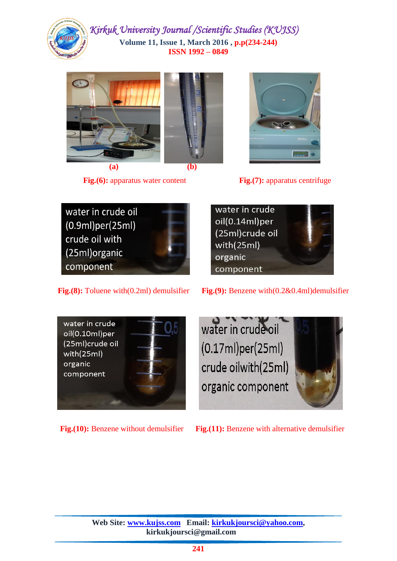

 *Kirkuk University Journal /Scientific Studies (KUJSS)*  **Volume 11, Issue 1, March 2016 , p.p(234-244) ISSN 1992 – 0849**



**Fig.(6):** apparatus water content **Fig.(7):** apparatus centrifuge







**Fig.(8):** Toluene with(0.2ml) demulsifier Fig.(9): Benzene with(0.2&0.4ml)demulsifier





**Fig.(10):** Benzene without demulsifier Fig.(11): Benzene with alternative demulsifier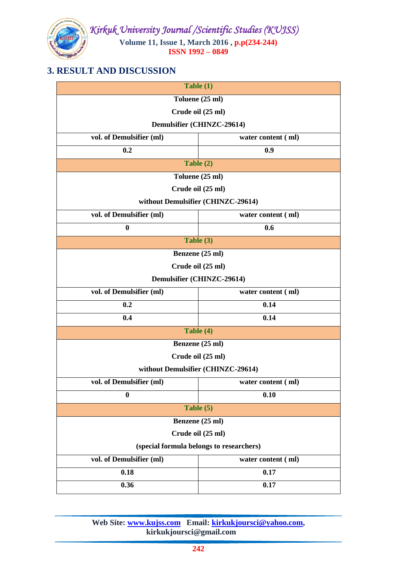

## **3. RESULT AND DISCUSSION**

| Table $(1)$                              |                    |
|------------------------------------------|--------------------|
| Toluene (25 ml)                          |                    |
| Crude oil (25 ml)                        |                    |
| Demulsifier (CHINZC-29614)               |                    |
| vol. of Demulsifier (ml)                 | water content (ml) |
| 0.2                                      | 0.9                |
| Table $(2)$                              |                    |
| Toluene (25 ml)                          |                    |
| Crude oil (25 ml)                        |                    |
| without Demulsifier (CHINZC-29614)       |                    |
| vol. of Demulsifier (ml)                 | water content (ml) |
| $\bf{0}$                                 | 0.6                |
| Table (3)                                |                    |
| Benzene (25 ml)                          |                    |
| Crude oil (25 ml)                        |                    |
| Demulsifier (CHINZC-29614)               |                    |
| vol. of Demulsifier (ml)                 | water content (ml) |
| 0.2                                      | 0.14               |
| 0.4                                      | 0.14               |
| Table (4)                                |                    |
| Benzene (25 ml)                          |                    |
| Crude oil (25 ml)                        |                    |
| without Demulsifier (CHINZC-29614)       |                    |
| vol. of Demulsifier (ml)                 | water content (ml) |
| $\boldsymbol{0}$                         | 0.10               |
| Table (5)                                |                    |
| Benzene (25 ml)                          |                    |
| Crude oil (25 ml)                        |                    |
| (special formula belongs to researchers) |                    |
| vol. of Demulsifier (ml)                 | water content (ml) |
| 0.18                                     | 0.17               |
| 0.36                                     | 0.17               |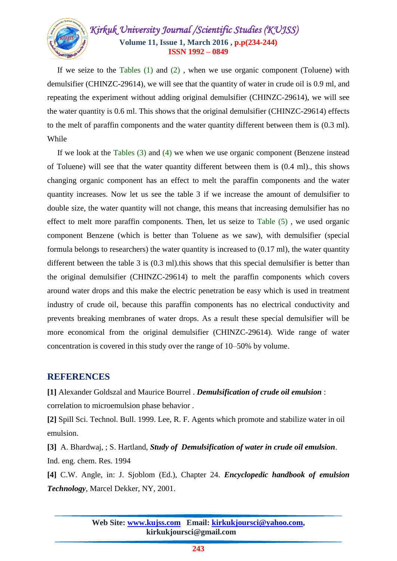

 If we seize to the Tables (1) and (2) , when we use organic component (Toluene) with demulsifier (CHINZC-29614), we will see that the quantity of water in crude oil is 0.9 ml, and repeating the experiment without adding original demulsifier (CHINZC-29614), we will see the water quantity is 0.6 ml. This shows that the original demulsifier (CHINZC-29614) effects to the melt of paraffin components and the water quantity different between them is (0.3 ml). While

 If we look at the Tables (3) and (4) we when we use organic component (Benzene instead of Toluene) will see that the water quantity different between them is (0.4 ml)., this shows changing organic component has an effect to melt the paraffin components and the water quantity increases. Now let us see the table 3 if we increase the amount of demulsifier to double size, the water quantity will not change, this means that increasing demulsifier has no effect to melt more paraffin components. Then, let us seize to Table (5) , we used organic component Benzene (which is better than Toluene as we saw), with demulsifier (special formula belongs to researchers) the water quantity is increased to (0.17 ml), the water quantity different between the table  $3$  is  $(0.3 \text{ ml})$ . this shows that this special demulsifier is better than the original demulsifier (CHINZC-29614) to melt the paraffin components which covers around water drops and this make the electric penetration be easy which is used in treatment industry of crude oil, because this paraffin components has no electrical conductivity and prevents breaking membranes of water drops. As a result these special demulsifier will be more economical from the original demulsifier (CHINZC-29614). Wide range of water concentration is covered in this study over the range of 10–50% by volume.

#### **REFERENCES**

**[1]** Alexander Goldszal and Maurice Bourrel . *Demulsification of crude oil emulsion* : correlation to microemulsion phase behavior .

**[2]** Spill Sci. Technol. Bull. 1999. Lee, R. F. Agents which promote and stabilize water in oil emulsion.

**[3]** A. Bhardwaj, ; S. Hartland, *Study of Demulsification of water in crude oil emulsion*. Ind. eng. chem. Res. 1994

**[4]** C.W. Angle, in: J. Sjoblom (Ed.), Chapter 24. *Encyclopedic handbook of emulsion Technology*, Marcel Dekker, NY, 2001.